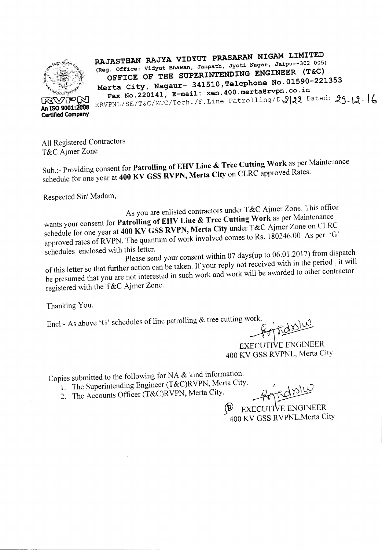

**RAJASTHAN RAJYA VIDYUT PRAsARAN NIGAM LIMITED** (Reg. Office: Vidyut Bhawan, Janpath, Jyoti Nagar, Jaipur-302 005) **OFFICE OF THE SUPERINTENDING ENGINEER (T&C) Merta City, Nagaur- 341510,Telephone No.01590-221353 Fax No.220141, E-mail: xen.400.merta@rvpn.co.in**

RRVPNL/SE/T&C/MTC/Tech. /F. Line Patrolling *D*. 22 Dated: 29.12.16

All Registered Contractors T&C Ajmer Zone

Sub.:- Providing consent for **Patrolling of EHV Line & Tree Cutting Work** as per Maintenance schedule for one year at **400 KV GSS RVPN, Merta City** on CLRC approved Rates.

Respected Sir/ Madam,

As you are enlisted contractors under T&C Ajmer Zone. This office wants your consent for **Patrolling of EHV Line & Tree Cutting Work** as per Maintenance schedule for one year at **400 KV GSS RVPN, Merta City** under T&C Ajmer Zone on CLRC approved rates of RVPN. The quantum of work involved comes to Rs.  $180246.00$  As per 'G'

schedules enclosed with this letter. Please send your consent within <sup>07</sup> days(up to 06.01.2017) from dispatch of this letter so that further action can be taken. If your reply not received with in the period, it will be presumed that you are not interested in such work and work will be awarded to other contractor registered with the T&C Ajmer Zone.

Thanking You.

Encl:- As above 'G' schedules of line patrolling  $&$  tree cutting work.

 $Fd^{\Omega}$ EXECUTIVE ENGINEER

400 KV GSS RVPNL, Merta City

Copies submitted to the following for NA & kind information.

- 1. The Superintending Engineer (T&C)RVPN, Merta City.
- 2. The Accounts Officer (T&C)RVPN, Merta City.

~ EXECUTIVE ENGINEER 400 KV GSS RVPNL,Merta City

- - - - ----------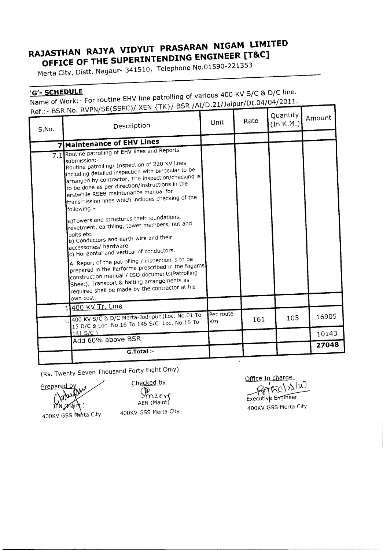## **RAJASTHAN RAJYA VIDYUT PRASARAN NIGAM LIMITED OFFICE OF THE SUPERINTENDING ENGINEER [T8tC]**

Merta City, Distt. Nagaur- 341510, Telephone No.01590-221353

**'G'- SCHEDULE** Name of Work:- For routine EHV line patrolling of various 400 KV SIC & D/C line. Ref.:- BSRNo. RVPN/SE(SSPC)/XEN {TK}/ BSR/AI/D.21/Jaipur/Dt.04/04/2011.

| S.No. | <u>אי ייצי ושמו חכם - וא</u><br>Description                                                                                                                                                                                                                                                                                                                                                                                                                                                                                                                                                                                                                                                                                                                                                                                                                                                                                    | Unit             | Rate | Quantity<br>(In K.M.) | Amount |
|-------|--------------------------------------------------------------------------------------------------------------------------------------------------------------------------------------------------------------------------------------------------------------------------------------------------------------------------------------------------------------------------------------------------------------------------------------------------------------------------------------------------------------------------------------------------------------------------------------------------------------------------------------------------------------------------------------------------------------------------------------------------------------------------------------------------------------------------------------------------------------------------------------------------------------------------------|------------------|------|-----------------------|--------|
|       | <b>7 Maintenance of EHV Lines</b>                                                                                                                                                                                                                                                                                                                                                                                                                                                                                                                                                                                                                                                                                                                                                                                                                                                                                              |                  |      |                       |        |
|       | 7.1 Routine patrolling of EHV lines and Reports<br>submission:-<br>Routine patrolling/ Inspection of 220 KV lines<br>including detailed inspection with binocular to be<br>$\left $ arranged by contractor. The inspection/checking is<br>to be done as per direction/instructions in the<br>erstwhile RSEB maintenance manual for<br>transmission lines which includes checking of the<br>following:-<br>a)Towers and structures their foundations,<br>revetment, earthling, tower members, nut and<br>bolts etc.<br>b) Conductors and earth wire and their<br>accessories/ hardware.<br>$\vert$ c) Horizontal and vertical of conductors.<br>A. Report of the patrolling / inspection is to be<br>prepared in the Performa prescribed in the Nigams<br>construction manual / ISO documents(Patrolling<br>Sheet). Transport & halting arrangements as<br>$\vert$ required shall be made by the contractor at his<br>own cost. |                  |      |                       |        |
|       | 400 KV Tr. Line<br>11<br>400 KV S/C & D/C Merta-Jodhpur (Loc. No.01 To<br>Ì.<br>15 D/C & Loc. No.16 To 145 S/C Loc. No.16 To                                                                                                                                                                                                                                                                                                                                                                                                                                                                                                                                                                                                                                                                                                                                                                                                   | Per route<br>lKm | 161  | 105                   | 16905  |
|       | $141 S/C$ )<br>Add 60% above BSR                                                                                                                                                                                                                                                                                                                                                                                                                                                                                                                                                                                                                                                                                                                                                                                                                                                                                               |                  |      |                       | 10143  |
|       | $G.T$ otal :-                                                                                                                                                                                                                                                                                                                                                                                                                                                                                                                                                                                                                                                                                                                                                                                                                                                                                                                  |                  |      |                       | 27048  |

(Rs. Twenty Seven Thousand Forty Eight Only)

Prepared by JEN (Maint)

Checked by

400KV GSS Merta City

 $>$ mer $\,$ AEN (Maint) 400KV GSS Merta City

Office In charge  $\cdot$  In ltd  $\sim$ Executive Engineer

1

400KV GSS Merta City